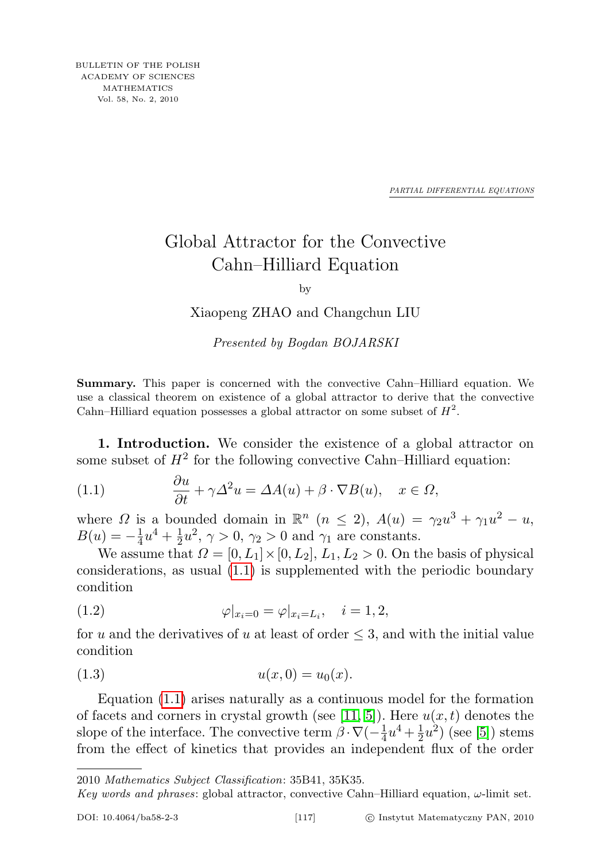*PARTIAL DIFFERENTIAL EQUATIONS*

## Global Attractor for the Convective Cahn–Hilliard Equation

by

Xiaopeng ZHAO and Changchun LIU

Presented by Bogdan BOJARSKI

Summary. This paper is concerned with the convective Cahn–Hilliard equation. We use a classical theorem on existence of a global attractor to derive that the convective Cahn–Hilliard equation possesses a global attractor on some subset of  $H^2$ .

1. Introduction. We consider the existence of a global attractor on some subset of  $H^2$  for the following convective Cahn–Hilliard equation:

<span id="page-0-0"></span>(1.1) 
$$
\frac{\partial u}{\partial t} + \gamma \Delta^2 u = \Delta A(u) + \beta \cdot \nabla B(u), \quad x \in \Omega,
$$

where  $\Omega$  is a bounded domain in  $\mathbb{R}^n$   $(n \leq 2)$ ,  $A(u) = \gamma_2 u^3 + \gamma_1 u^2 - u$ ,  $B(u) = -\frac{1}{4}$  $rac{1}{4}u^4 + \frac{1}{2}$  $\frac{1}{2}u^2$ ,  $\gamma > 0$ ,  $\gamma_2 > 0$  and  $\gamma_1$  are constants.

We assume that  $\Omega = [0, L_1] \times [0, L_2]$ ,  $L_1, L_2 > 0$ . On the basis of physical considerations, as usual [\(1.1\)](#page-0-0) is supplemented with the periodic boundary condition

(1.2) 
$$
\varphi|_{x_i=0} = \varphi|_{x_i=L_i}, \quad i = 1, 2,
$$

for u and the derivatives of u at least of order  $\leq$  3, and with the initial value condition

<span id="page-0-1"></span>(1.3) 
$$
u(x,0) = u_0(x).
$$

Equation [\(1.1\)](#page-0-0) arises naturally as a continuous model for the formation of facets and corners in crystal growth (see [\[11,](#page-10-0) [5\]](#page-9-0)). Here  $u(x, t)$  denotes the slope of the interface. The convective term  $\beta \cdot \nabla(-\frac{1}{4})$  $rac{1}{4}u^4 + \frac{1}{2}$  $\frac{1}{2}u^2$ ) (see [\[5\]](#page-9-0)) stems from the effect of kinetics that provides an independent flux of the order

2010 Mathematics Subject Classification: 35B41, 35K35.

Key words and phrases: global attractor, convective Cahn–Hilliard equation,  $\omega$ -limit set.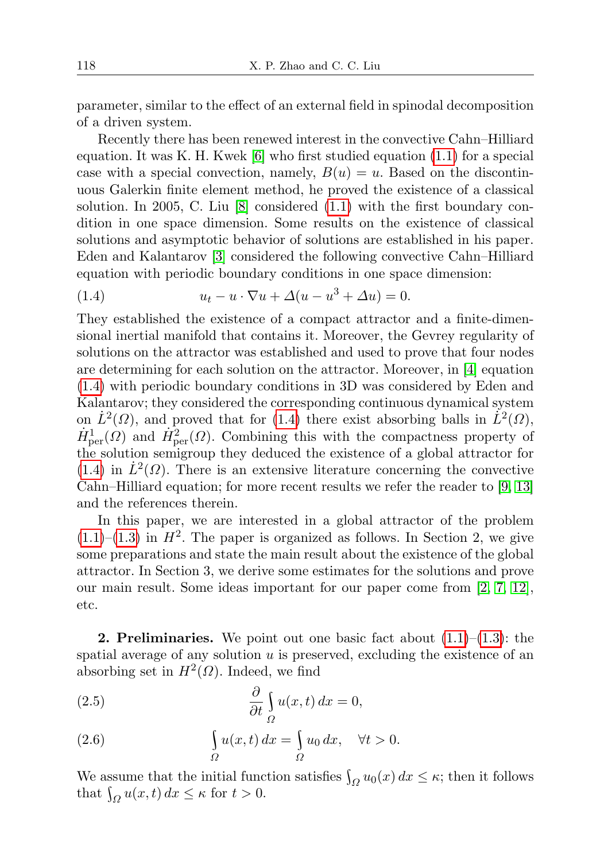parameter, similar to the effect of an external field in spinodal decomposition of a driven system.

Recently there has been renewed interest in the convective Cahn–Hilliard equation. It was K. H. Kwek  $[6]$  who first studied equation  $(1.1)$  for a special case with a special convection, namely,  $B(u) = u$ . Based on the discontinuous Galerkin finite element method, he proved the existence of a classical solution. In 2005, C. Liu [\[8\]](#page-10-1) considered [\(1.1\)](#page-0-0) with the first boundary condition in one space dimension. Some results on the existence of classical solutions and asymptotic behavior of solutions are established in his paper. Eden and Kalantarov [\[3\]](#page-9-2) considered the following convective Cahn–Hilliard equation with periodic boundary conditions in one space dimension:

<span id="page-1-0"></span>(1.4) 
$$
u_t - u \cdot \nabla u + \Delta(u - u^3 + \Delta u) = 0.
$$

They established the existence of a compact attractor and a finite-dimensional inertial manifold that contains it. Moreover, the Gevrey regularity of solutions on the attractor was established and used to prove that four nodes are determining for each solution on the attractor. Moreover, in [\[4\]](#page-9-3) equation [\(1.4\)](#page-1-0) with periodic boundary conditions in 3D was considered by Eden and Kalantarov; they considered the corresponding continuous dynamical system on  $\dot{L}^2(\Omega)$ , and proved that for [\(1.4\)](#page-1-0) there exist absorbing balls in  $\dot{L}^2(\Omega)$ ,  $\dot{H}_{\text{per}}^1(\Omega)$  and  $\dot{H}_{\text{per}}^2(\Omega)$ . Combining this with the compactness property of the solution semigroup they deduced the existence of a global attractor for [\(1.4\)](#page-1-0) in  $\dot{L}^2(\Omega)$ . There is an extensive literature concerning the convective Cahn–Hilliard equation; for more recent results we refer the reader to [\[9,](#page-10-2) [13\]](#page-10-3) and the references therein.

In this paper, we are interested in a global attractor of the problem  $(1.1)$ – $(1.3)$  in  $H<sup>2</sup>$ . The paper is organized as follows. In Section 2, we give some preparations and state the main result about the existence of the global attractor. In Section 3, we derive some estimates for the solutions and prove our main result. Some ideas important for our paper come from [\[2,](#page-9-4) [7,](#page-9-5) [12\]](#page-10-4), etc.

**2. Preliminaries.** We point out one basic fact about  $(1.1)$ – $(1.3)$ : the spatial average of any solution  $u$  is preserved, excluding the existence of an absorbing set in  $H^2(\Omega)$ . Indeed, we find

(2.5) 
$$
\frac{\partial}{\partial t} \int_{\Omega} u(x, t) dx = 0,
$$

(2.6) 
$$
\int_{\Omega} u(x,t) dx = \int_{\Omega} u_0 dx, \quad \forall t > 0.
$$

We assume that the initial function satisfies  $\int_{\Omega} u_0(x) dx \leq \kappa$ ; then it follows that  $\int_{\Omega} u(x, t) dx \leq \kappa$  for  $t > 0$ .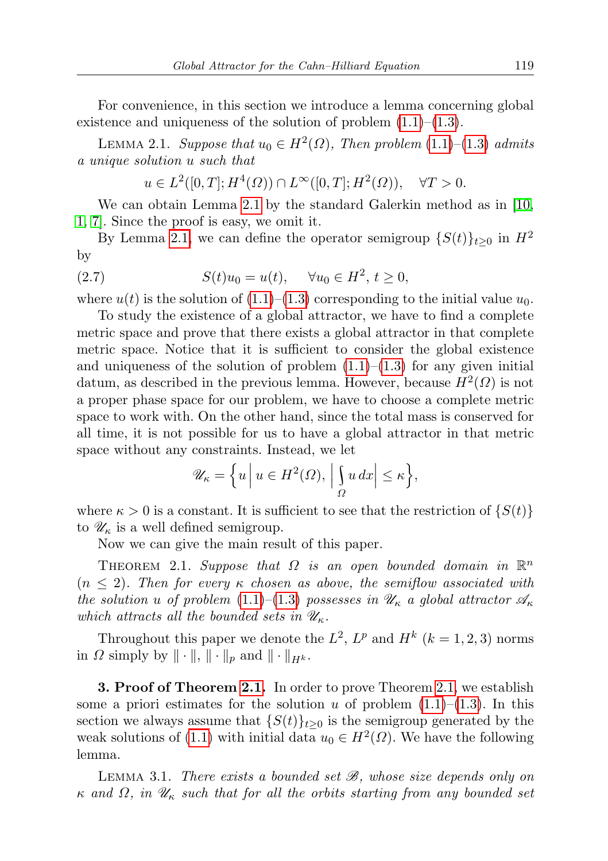For convenience, in this section we introduce a lemma concerning global existence and uniqueness of the solution of problem  $(1.1)$ – $(1.3)$ .

<span id="page-2-0"></span>LEMMA 2.1. Suppose that  $u_0 \in H^2(\Omega)$ , Then problem  $(1.1)$ – $(1.3)$  admits a unique solution u such that

 $u \in L^2([0,T]; H^4(\Omega)) \cap L^\infty([0,T]; H^2(\Omega)), \quad \forall T > 0.$ 

We can obtain Lemma [2.1](#page-2-0) by the standard Galerkin method as in [\[10,](#page-10-5) [1,](#page-9-6) [7\]](#page-9-5). Since the proof is easy, we omit it.

By Lemma [2.1,](#page-2-0) we can define the operator semigroup  $\{S(t)\}_{t\geq0}$  in  $H^2$ by

(2.7) 
$$
S(t)u_0 = u(t), \quad \forall u_0 \in H^2, t \ge 0,
$$

where  $u(t)$  is the solution of  $(1.1)$ – $(1.3)$  corresponding to the initial value  $u_0$ .

To study the existence of a global attractor, we have to find a complete metric space and prove that there exists a global attractor in that complete metric space. Notice that it is sufficient to consider the global existence and uniqueness of the solution of problem  $(1.1)$ – $(1.3)$  for any given initial datum, as described in the previous lemma. However, because  $H^2(\Omega)$  is not a proper phase space for our problem, we have to choose a complete metric space to work with. On the other hand, since the total mass is conserved for all time, it is not possible for us to have a global attractor in that metric space without any constraints. Instead, we let

$$
\mathscr{U}_{\kappa} = \left\{ u \, \middle| \, u \in H^2(\Omega), \, \left| \int_{\Omega} u \, dx \right| \leq \kappa \right\},\
$$

where  $\kappa > 0$  is a constant. It is sufficient to see that the restriction of  $\{S(t)\}\$ to  $\mathscr{U}_{\kappa}$  is a well defined semigroup.

Now we can give the main result of this paper.

<span id="page-2-1"></span>THEOREM 2.1. Suppose that  $\Omega$  is an open bounded domain in  $\mathbb{R}^n$  $(n \leq 2)$ . Then for every  $\kappa$  chosen as above, the semiflow associated with the solution u of problem [\(1.1\)](#page-0-0)–[\(1.3\)](#page-0-1) possesses in  $\mathscr{U}_{\kappa}$  a global attractor  $\mathscr{A}_{\kappa}$ which attracts all the bounded sets in  $\mathscr{U}_{\kappa}$ .

Throughout this paper we denote the  $L^2$ ,  $L^p$  and  $H^k$   $(k = 1, 2, 3)$  norms in  $\Omega$  simply by  $\|\cdot\|$ ,  $\|\cdot\|_p$  and  $\|\cdot\|_{H^k}$ .

**3. Proof of Theorem [2.1.](#page-2-1)** In order to prove Theorem [2.1,](#page-2-1) we establish some a priori estimates for the solution u of problem  $(1.1)$ – $(1.3)$ . In this section we always assume that  $\{S(t)\}_{t\geq 0}$  is the semigroup generated by the weak solutions of [\(1.1\)](#page-0-0) with initial data  $u_0 \in H^2(\Omega)$ . We have the following lemma.

LEMMA 3.1. There exists a bounded set  $\mathcal{B}$ , whose size depends only on  $\kappa$  and  $\Omega$ , in  $\mathscr{U}_\kappa$  such that for all the orbits starting from any bounded set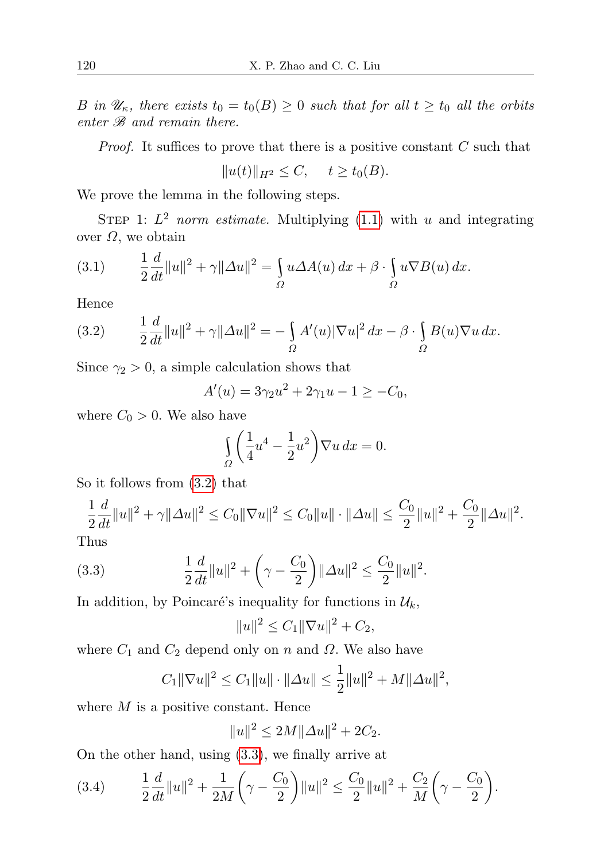B in  $\mathscr{U}_{\kappa}$ , there exists  $t_0 = t_0(B) \geq 0$  such that for all  $t \geq t_0$  all the orbits enter  $\mathscr B$  and remain there.

*Proof.* It suffices to prove that there is a positive constant  $C$  such that

 $||u(t)||_{H^2} \leq C, \quad t \geq t_0(B).$ 

We prove the lemma in the following steps.

STEP 1:  $L^2$  norm estimate. Multiplying [\(1.1\)](#page-0-0) with u and integrating over  $Ω$ , we obtain

(3.1) 
$$
\frac{1}{2}\frac{d}{dt}\|u\|^2 + \gamma \|\Delta u\|^2 = \int_{\Omega} u \Delta A(u) dx + \beta \cdot \int_{\Omega} u \nabla B(u) dx.
$$

Hence

<span id="page-3-0"></span>(3.2) 
$$
\frac{1}{2}\frac{d}{dt}\|u\|^2 + \gamma \|\Delta u\|^2 = -\int_{\Omega} A'(u)|\nabla u|^2 dx - \beta \cdot \int_{\Omega} B(u)\nabla u dx.
$$

Since  $\gamma_2 > 0$ , a simple calculation shows that

$$
A'(u) = 3\gamma_2 u^2 + 2\gamma_1 u - 1 \ge -C_0,
$$

where  $C_0 > 0$ . We also have

$$
\int_{\Omega} \left( \frac{1}{4} u^4 - \frac{1}{2} u^2 \right) \nabla u \, dx = 0.
$$

So it follows from [\(3.2\)](#page-3-0) that

$$
\frac{1}{2}\frac{d}{dt}\|u\|^2 + \gamma \|\Delta u\|^2 \le C_0 \|\nabla u\|^2 \le C_0 \|u\| \cdot \|\Delta u\| \le \frac{C_0}{2} \|u\|^2 + \frac{C_0}{2} \|\Delta u\|^2.
$$

Thus

(3.3) 
$$
\frac{1}{2}\frac{d}{dt}\|u\|^2 + \left(\gamma - \frac{C_0}{2}\right)\|\Delta u\|^2 \le \frac{C_0}{2}\|u\|^2.
$$

In addition, by Poincaré's inequality for functions in  $\mathcal{U}_k$ ,

<span id="page-3-1"></span>
$$
||u||^2 \le C_1 ||\nabla u||^2 + C_2,
$$

where  $C_1$  and  $C_2$  depend only on n and  $\Omega$ . We also have

$$
C_1 \|\nabla u\|^2 \le C_1 \|u\| \cdot \|\Delta u\| \le \frac{1}{2} \|u\|^2 + M \|\Delta u\|^2,
$$

where  $M$  is a positive constant. Hence

$$
||u||^2 \le 2M||\Delta u||^2 + 2C_2.
$$

On the other hand, using [\(3.3\)](#page-3-1), we finally arrive at

<span id="page-3-2"></span>
$$
(3.4) \qquad \frac{1}{2}\frac{d}{dt}\|u\|^2 + \frac{1}{2M}\left(\gamma - \frac{C_0}{2}\right)\|u\|^2 \le \frac{C_0}{2}\|u\|^2 + \frac{C_2}{M}\left(\gamma - \frac{C_0}{2}\right).
$$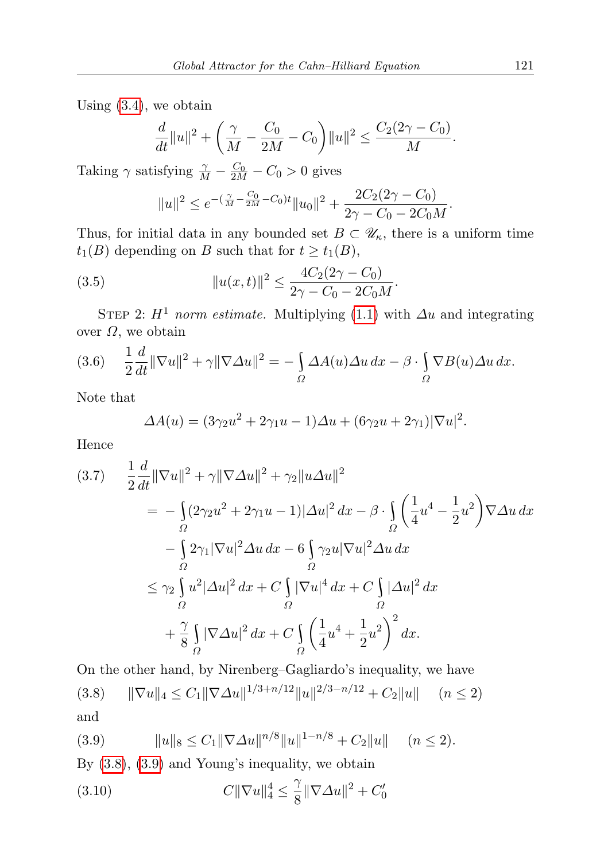Using [\(3.4\)](#page-3-2), we obtain

$$
\frac{d}{dt}||u||^2 + \left(\frac{\gamma}{M} - \frac{C_0}{2M} - C_0\right)||u||^2 \le \frac{C_2(2\gamma - C_0)}{M}.
$$

Taking  $\gamma$  satisfying  $\frac{\gamma}{M} - \frac{C_0}{2M} - C_0 > 0$  gives

<span id="page-4-1"></span>
$$
||u||^{2} \leq e^{-(\frac{\gamma}{M} - \frac{C_{0}}{2M} - C_{0})t} ||u_{0}||^{2} + \frac{2C_{2}(2\gamma - C_{0})}{2\gamma - C_{0} - 2C_{0}M}.
$$

Thus, for initial data in any bounded set  $B \subset \mathscr{U}_{\kappa}$ , there is a uniform time  $t_1(B)$  depending on B such that for  $t \geq t_1(B)$ ,

(3.5) 
$$
||u(x,t)||^2 \le \frac{4C_2(2\gamma - C_0)}{2\gamma - C_0 - 2C_0M}.
$$

STEP 2:  $H^1$  norm estimate. Multiplying [\(1.1\)](#page-0-0) with  $\Delta u$  and integrating over  $Ω$ , we obtain

(3.6) 
$$
\frac{1}{2}\frac{d}{dt}\|\nabla u\|^2 + \gamma\|\nabla \Delta u\|^2 = -\int_{\Omega} \Delta A(u)\Delta u \,dx - \beta \cdot \int_{\Omega} \nabla B(u)\Delta u \,dx.
$$

Note that

$$
\Delta A(u) = (3\gamma_2 u^2 + 2\gamma_1 u - 1)\Delta u + (6\gamma_2 u + 2\gamma_1)|\nabla u|^2.
$$

Hence

<span id="page-4-0"></span>
$$
(3.7) \quad \frac{1}{2} \frac{d}{dt} \|\nabla u\|^2 + \gamma \|\nabla \Delta u\|^2 + \gamma_2 \|u \Delta u\|^2
$$
\n
$$
= -\int_{\Omega} (2\gamma_2 u^2 + 2\gamma_1 u - 1) |\Delta u|^2 dx - \beta \cdot \int_{\Omega} \left(\frac{1}{4} u^4 - \frac{1}{2} u^2\right) \nabla \Delta u \, dx
$$
\n
$$
- \int_{\Omega} 2\gamma_1 |\nabla u|^2 \Delta u \, dx - 6 \int_{\Omega} \gamma_2 u |\nabla u|^2 \Delta u \, dx
$$
\n
$$
\leq \gamma_2 \int_{\Omega} u^2 |\Delta u|^2 \, dx + C \int_{\Omega} |\nabla u|^4 \, dx + C \int_{\Omega} |\Delta u|^2 \, dx
$$
\n
$$
+ \frac{\gamma}{8} \int_{\Omega} |\nabla \Delta u|^2 \, dx + C \int_{\Omega} \left(\frac{1}{4} u^4 + \frac{1}{2} u^2\right)^2 \, dx.
$$

On the other hand, by Nirenberg–Gagliardo's inequality, we have

(3.8) 
$$
\|\nabla u\|_4 \le C_1 \|\nabla \Delta u\|^{1/3 + n/12} \|u\|^{2/3 - n/12} + C_2 \|u\| \quad (n \le 2)
$$
and

(3.9) 
$$
||u||_8 \leq C_1 ||\nabla \Delta u||^{n/8} ||u||^{1-n/8} + C_2 ||u|| \quad (n \leq 2).
$$

By [\(3.8\)](#page-4-0), [\(3.9\)](#page-4-0) and Young's inequality, we obtain

<span id="page-4-2"></span>(3.10) 
$$
C \|\nabla u\|_4^4 \le \frac{\gamma}{8} \|\nabla \Delta u\|^2 + C_0'
$$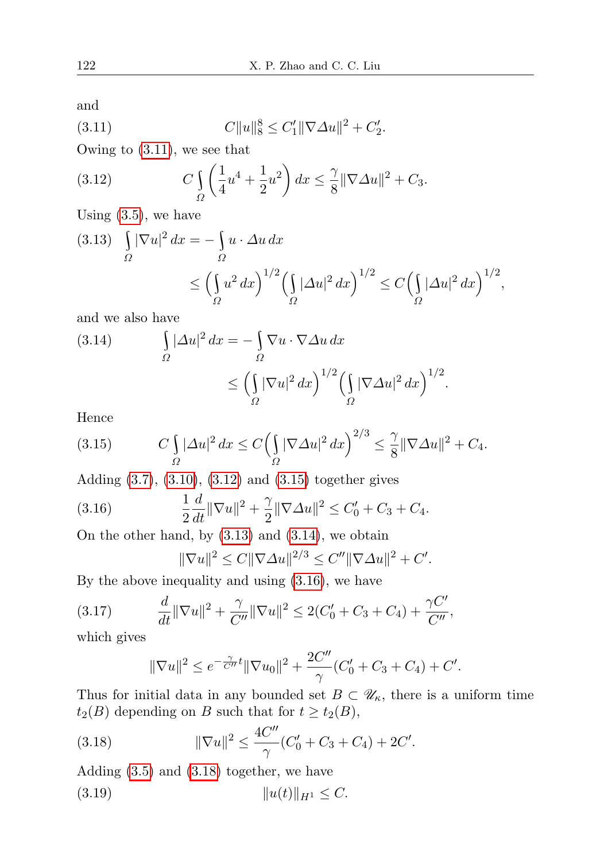and

<span id="page-5-0"></span>(3.11) 
$$
C||u||_8^8 \leq C'_1 ||\nabla \Delta u||^2 + C'_2.
$$

Owing to [\(3.11\)](#page-5-0), we see that

<span id="page-5-1"></span>(3.12) 
$$
C \int_{\Omega} \left( \frac{1}{4} u^4 + \frac{1}{2} u^2 \right) dx \leq \frac{\gamma}{8} ||\nabla \Delta u||^2 + C_3.
$$

Using  $(3.5)$ , we have

$$
(3.13) \quad \int_{\Omega} |\nabla u|^2 dx = -\int_{\Omega} u \cdot \Delta u dx
$$
  

$$
\leq \left(\int_{\Omega} u^2 dx\right)^{1/2} \left(\int_{\Omega} |\Delta u|^2 dx\right)^{1/2} \leq C \left(\int_{\Omega} |\Delta u|^2 dx\right)^{1/2},
$$

and we also have

<span id="page-5-3"></span>(3.14) 
$$
\int_{\Omega} |\Delta u|^2 dx = -\int_{\Omega} \nabla u \cdot \nabla \Delta u dx
$$

$$
\leq \left(\int_{\Omega} |\nabla u|^2 dx\right)^{1/2} \left(\int_{\Omega} |\nabla \Delta u|^2 dx\right)^{1/2}.
$$

Hence

<span id="page-5-2"></span>(3.15) 
$$
C \int_{\Omega} |\Delta u|^2 dx \le C \Big( \int_{\Omega} |\nabla \Delta u|^2 dx \Big)^{2/3} \le \frac{\gamma}{8} ||\nabla \Delta u||^2 + C_4.
$$

Adding [\(3.7\)](#page-4-0), [\(3.10\)](#page-4-2), [\(3.12\)](#page-5-1) and [\(3.15\)](#page-5-2) together gives

(3.16) 
$$
\frac{1}{2}\frac{d}{dt}\|\nabla u\|^2 + \frac{\gamma}{2}\|\nabla \Delta u\|^2 \leq C'_0 + C_3 + C_4.
$$

On the other hand, by  $(3.13)$  and  $(3.14)$ , we obtain

<span id="page-5-4"></span>
$$
\|\nabla u\|^2 \le C \|\nabla \Delta u\|^{2/3} \le C'' \|\nabla \Delta u\|^2 + C'.
$$

By the above inequality and using [\(3.16\)](#page-5-4), we have

(3.17) 
$$
\frac{d}{dt} \|\nabla u\|^2 + \frac{\gamma}{C''} \|\nabla u\|^2 \le 2(C'_0 + C_3 + C_4) + \frac{\gamma C'}{C''},
$$

which gives

<span id="page-5-6"></span><span id="page-5-5"></span>
$$
\|\nabla u\|^2 \le e^{-\frac{\gamma}{C''}t} \|\nabla u_0\|^2 + \frac{2C''}{\gamma} (C'_0 + C_3 + C_4) + C'.
$$

Thus for initial data in any bounded set  $B \subset \mathscr{U}_{\kappa}$ , there is a uniform time  $t_2(B)$  depending on B such that for  $t \geq t_2(B)$ ,

(3.18) 
$$
\|\nabla u\|^2 \le \frac{4C''}{\gamma} (C'_0 + C_3 + C_4) + 2C'.
$$

Adding [\(3.5\)](#page-4-1) and [\(3.18\)](#page-5-5) together, we have

(3.19) ku(t)kH<sup>1</sup> ≤ C.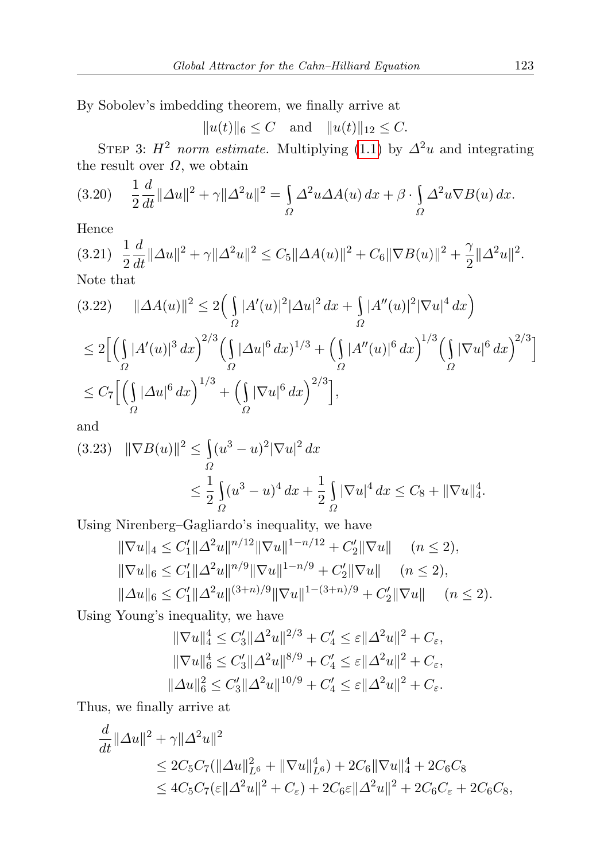By Sobolev's imbedding theorem, we finally arrive at

 $||u(t)||_6 \leq C$  and  $||u(t)||_{12} \leq C.$ 

STEP 3:  $H^2$  norm estimate. Multiplying [\(1.1\)](#page-0-0) by  $\Delta^2 u$  and integrating the result over  $\Omega$ , we obtain

(3.20) 
$$
\frac{1}{2}\frac{d}{dt}\|\Delta u\|^2 + \gamma \|\Delta^2 u\|^2 = \int_{\Omega} \Delta^2 u \Delta A(u) \, dx + \beta \cdot \int_{\Omega} \Delta^2 u \nabla B(u) \, dx.
$$

Hence

$$
(3.21) \frac{1}{2}\frac{d}{dt}\|\Delta u\|^2 + \gamma \|\Delta^2 u\|^2 \le C_5 \|\Delta A(u)\|^2 + C_6 \|\nabla B(u)\|^2 + \frac{\gamma}{2}\|\Delta^2 u\|^2.
$$
  
Note that

$$
(3.22) \quad \|\Delta A(u)\|^2 \le 2\Big(\int_{\Omega} |A'(u)|^2 |\Delta u|^2 dx + \int_{\Omega} |A''(u)|^2 |\nabla u|^4 dx\Big)
$$
  
\n
$$
\le 2\Big[\Big(\int_{\Omega} |A'(u)|^3 dx\Big)^{2/3} \Big(\int_{\Omega} |\Delta u|^6 dx\Big)^{1/3} + \Big(\int_{\Omega} |A''(u)|^6 dx\Big)^{1/3} \Big(\int_{\Omega} |\nabla u|^6 dx\Big)^{2/3}\Big]
$$
  
\n
$$
\le C_7\Big[\Big(\int_{\Omega} |\Delta u|^6 dx\Big)^{1/3} + \Big(\int_{\Omega} |\nabla u|^6 dx\Big)^{2/3}\Big],
$$

and

$$
(3.23) \quad \|\nabla B(u)\|^2 \le \int_{\Omega} (u^3 - u)^2 |\nabla u|^2 \, dx
$$
  

$$
\le \frac{1}{2} \int_{\Omega} (u^3 - u)^4 \, dx + \frac{1}{2} \int_{\Omega} |\nabla u|^4 \, dx \le C_8 + \|\nabla u\|_4^4.
$$

Using Nirenberg–Gagliardo's inequality, we have

$$
\|\nabla u\|_{4} \leq C'_{1} \|\Delta^{2} u\|^{n/12} \|\nabla u\|^{1-n/12} + C'_{2} \|\nabla u\| \quad (n \leq 2),
$$
  

$$
\|\nabla u\|_{6} \leq C'_{1} \|\Delta^{2} u\|^{n/9} \|\nabla u\|^{1-n/9} + C'_{2} \|\nabla u\| \quad (n \leq 2),
$$
  

$$
\|\Delta u\|_{6} \leq C'_{1} \|\Delta^{2} u\|^{(3+n)/9} \|\nabla u\|^{1-(3+n)/9} + C'_{2} \|\nabla u\| \quad (n \leq 2).
$$

Using Young's inequality, we have

$$
\|\nabla u\|_{4}^{4} \leq C_{3}' \|\Delta^{2} u\|^{2/3} + C_{4}' \leq \varepsilon \|\Delta^{2} u\|^{2} + C_{\varepsilon},
$$
  

$$
\|\nabla u\|_{6}^{4} \leq C_{3}' \|\Delta^{2} u\|^{8/9} + C_{4}' \leq \varepsilon \|\Delta^{2} u\|^{2} + C_{\varepsilon},
$$
  

$$
\|\Delta u\|_{6}^{2} \leq C_{3}' \|\Delta^{2} u\|^{10/9} + C_{4}' \leq \varepsilon \|\Delta^{2} u\|^{2} + C_{\varepsilon}.
$$

Thus, we finally arrive at

$$
\frac{d}{dt} ||\Delta u||^2 + \gamma ||\Delta^2 u||^2
$$
\n
$$
\leq 2C_5 C_7 (||\Delta u||_{L^6}^2 + ||\nabla u||_{L^6}^4) + 2C_6 ||\nabla u||_4^4 + 2C_6 C_8
$$
\n
$$
\leq 4C_5 C_7 (\varepsilon ||\Delta^2 u||^2 + C_\varepsilon) + 2C_6 \varepsilon ||\Delta^2 u||^2 + 2C_6 C_\varepsilon + 2C_6 C_8,
$$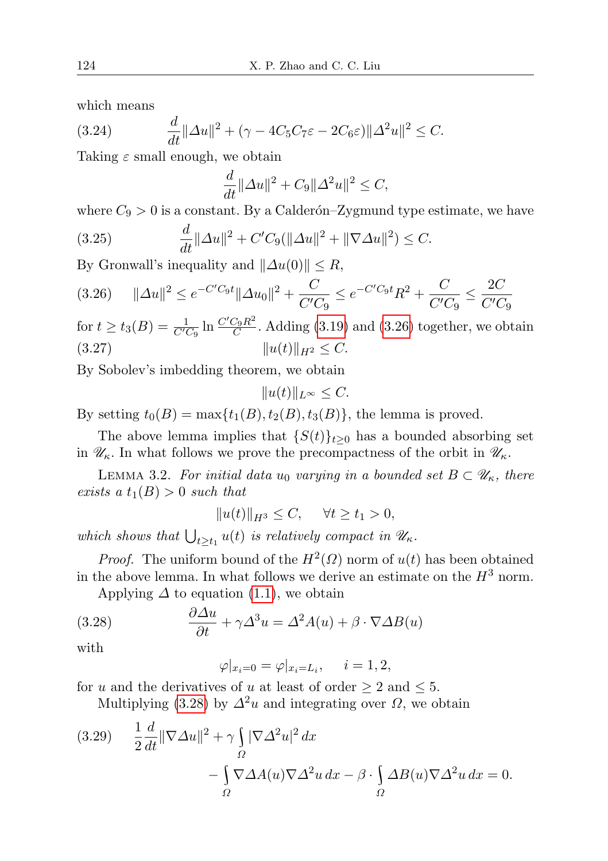which means

(3.24) 
$$
\frac{d}{dt} \|\Delta u\|^2 + (\gamma - 4C_5C_7\varepsilon - 2C_6\varepsilon) \|\Delta^2 u\|^2 \leq C.
$$

Taking  $\varepsilon$  small enough, we obtain

<span id="page-7-3"></span>
$$
\frac{d}{dt} \|\Delta u\|^2 + C_9 \|\Delta^2 u\|^2 \le C,
$$

where  $C_9 > 0$  is a constant. By a Calderón–Zygmund type estimate, we have

(3.25) 
$$
\frac{d}{dt} ||\Delta u||^2 + C'C_9(||\Delta u||^2 + ||\nabla \Delta u||^2) \leq C.
$$

By Gronwall's inequality and  $\|\Delta u(0)\| \leq R$ ,

<span id="page-7-0"></span>
$$
(3.26) \qquad \|\Delta u\|^2 \le e^{-C'C_9t} \|\Delta u_0\|^2 + \frac{C}{C'C_9} \le e^{-C'C_9t} R^2 + \frac{C}{C'C_9} \le \frac{2C}{C'C_9}
$$

for  $t \ge t_3(B) = \frac{1}{C'C_9} \ln \frac{C'C_9R^2}{C}$ . Adding [\(3.19\)](#page-5-6) and [\(3.26\)](#page-7-0) together, we obtain (3.27)  $||u(t)||_{H^2} \leq C.$ 

By Sobolev's imbedding theorem, we obtain

$$
||u(t)||_{L^{\infty}} \leq C.
$$

By setting  $t_0(B) = \max\{t_1(B), t_2(B), t_3(B)\}\text{, the lemma is proved.}$ 

The above lemma implies that  $\{S(t)\}_{t\geq 0}$  has a bounded absorbing set in  $\mathcal{U}_{\kappa}$ . In what follows we prove the precompactness of the orbit in  $\mathcal{U}_{\kappa}$ .

<span id="page-7-4"></span>LEMMA 3.2. For initial data  $u_0$  varying in a bounded set  $B \subset \mathscr{U}_{\kappa}$ , there exists a  $t_1(B) > 0$  such that

$$
||u(t)||_{H^3} \le C, \quad \forall t \ge t_1 > 0,
$$

which shows that  $\bigcup_{t\geq t_1} u(t)$  is relatively compact in  $\mathscr{U}_{\kappa}$ .

*Proof.* The uniform bound of the  $H^2(\Omega)$  norm of  $u(t)$  has been obtained in the above lemma. In what follows we derive an estimate on the  $H^3$  norm.

Applying  $\Delta$  to equation [\(1.1\)](#page-0-0), we obtain

(3.28) 
$$
\frac{\partial \Delta u}{\partial t} + \gamma \Delta^3 u = \Delta^2 A(u) + \beta \cdot \nabla \Delta B(u)
$$

with

<span id="page-7-1"></span>
$$
\varphi|_{x_i=0} = \varphi|_{x_i=L_i}, \quad i=1,2,
$$

for u and the derivatives of u at least of order  $\geq 2$  and  $\leq 5$ .

Multiplying [\(3.28\)](#page-7-1) by  $\Delta^2 u$  and integrating over  $\Omega$ , we obtain

<span id="page-7-2"></span>
$$
(3.29) \quad \frac{1}{2}\frac{d}{dt}\|\nabla\Delta u\|^2 + \gamma \int_{\Omega} |\nabla\Delta^2 u|^2 dx - \int_{\Omega} \nabla\Delta A(u)\nabla\Delta^2 u dx - \beta \cdot \int_{\Omega} \Delta B(u)\nabla\Delta^2 u dx = 0.
$$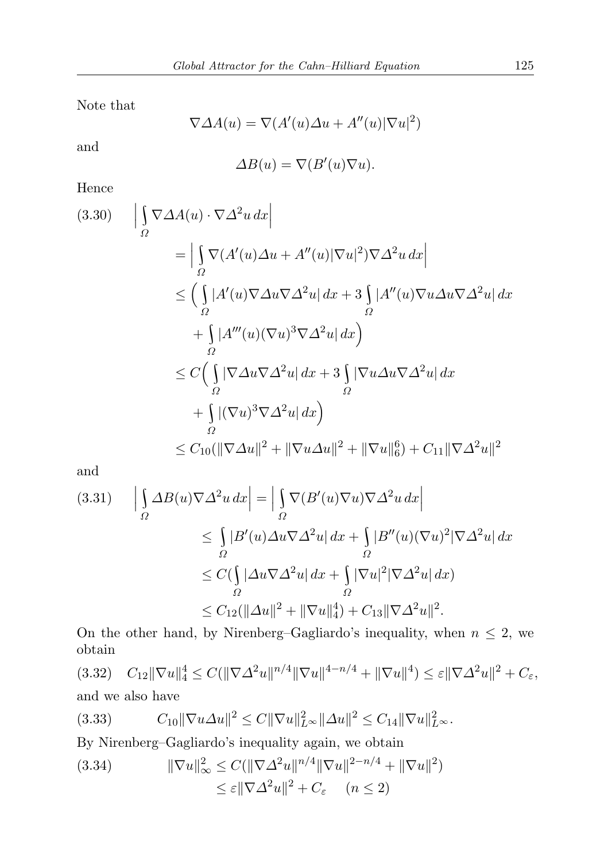Note that

$$
\nabla \Delta A(u) = \nabla (A'(u)\Delta u + A''(u)|\nabla u|^2)
$$

and

$$
\Delta B(u) = \nabla(B'(u)\nabla u).
$$

Hence

$$
(3.30) \qquad \left| \int_{\Omega} \nabla \Delta A(u) \cdot \nabla \Delta^2 u \, dx \right|
$$
  
\n
$$
= \left| \int_{\Omega} \nabla (A'(u) \Delta u + A''(u) |\nabla u|^2) \nabla \Delta^2 u \, dx \right|
$$
  
\n
$$
\leq \left( \int_{\Omega} |A'(u) \nabla \Delta u \nabla \Delta^2 u| \, dx + 3 \int_{\Omega} |A''(u) \nabla u \Delta u \nabla \Delta^2 u| \, dx \right|
$$
  
\n
$$
+ \int_{\Omega} |A'''(u) (\nabla u)^3 \nabla \Delta^2 u| \, dx \right)
$$
  
\n
$$
\leq C \left( \int_{\Omega} |\nabla \Delta u \nabla \Delta^2 u| \, dx + 3 \int_{\Omega} |\nabla u \Delta u \nabla \Delta^2 u| \, dx \right|
$$
  
\n
$$
+ \int_{\Omega} |(\nabla u)^3 \nabla \Delta^2 u| \, dx \right)
$$
  
\n
$$
\leq C_{10} (\|\nabla \Delta u\|^2 + \|\nabla u \Delta u\|^2 + \|\nabla u\|_6^6) + C_{11} \|\nabla \Delta^2 u\|^2
$$

and

$$
(3.31) \qquad \Big| \int_{\Omega} \Delta B(u) \nabla \Delta^2 u \, dx \Big| = \Big| \int_{\Omega} \nabla (B'(u) \nabla u) \nabla \Delta^2 u \, dx \Big|
$$
  

$$
\leq \int_{\Omega} |B'(u) \Delta u \nabla \Delta^2 u| \, dx + \int_{\Omega} |B''(u) (\nabla u)^2| \nabla \Delta^2 u| \, dx
$$
  

$$
\leq C (\int_{\Omega} |\Delta u \nabla \Delta^2 u| \, dx + \int_{\Omega} |\nabla u|^2| \nabla \Delta^2 u| \, dx)
$$
  

$$
\leq C_{12} (\|\Delta u\|^2 + \|\nabla u\|_4^4) + C_{13} \|\nabla \Delta^2 u\|^2.
$$

On the other hand, by Nirenberg–Gagliardo's inequality, when  $n \leq 2$ , we obtain

(3.32) 
$$
C_{12} \|\nabla u\|_{4}^{4} \leq C(\|\nabla \Delta^{2} u\|^{n/4} \|\nabla u\|^{4-n/4} + \|\nabla u\|^{4}) \leq \varepsilon \|\nabla \Delta^{2} u\|^{2} + C_{\varepsilon},
$$
  
and we also have

$$
(3.33) \t C_{10} \|\nabla u \Delta u\|^2 \leq C \|\nabla u\|_{L^\infty}^2 \|\Delta u\|^2 \leq C_{14} \|\nabla u\|_{L^\infty}^2.
$$

By Nirenberg–Gagliardo's inequality again, we obtain

(3.34) 
$$
\|\nabla u\|_{\infty}^{2} \leq C(\|\nabla \Delta^{2} u\|^{n/4} \|\nabla u\|^{2-n/4} + \|\nabla u\|^{2})
$$

$$
\leq \varepsilon \|\nabla \Delta^{2} u\|^{2} + C_{\varepsilon} \quad (n \leq 2)
$$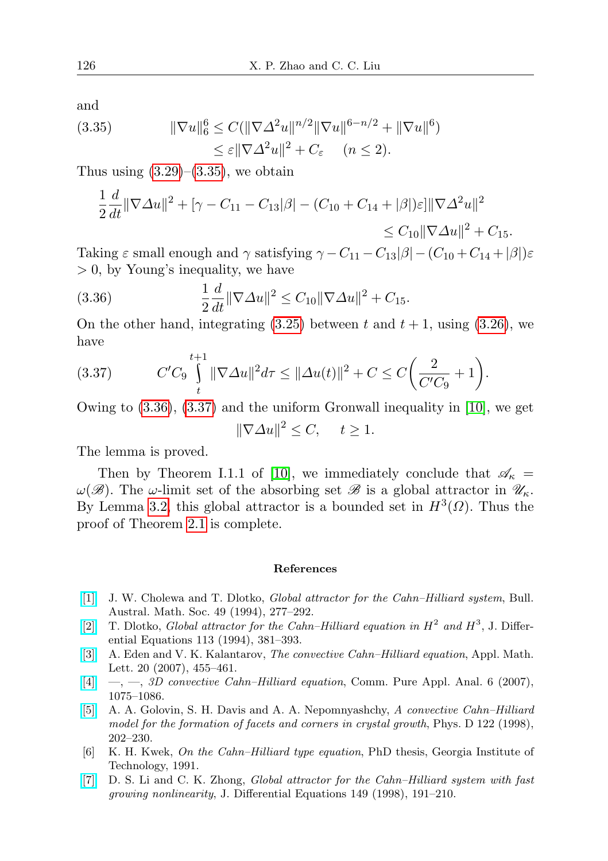and

<span id="page-9-7"></span>(3.35) 
$$
\|\nabla u\|_{6}^{6} \leq C(\|\nabla \Delta^{2} u\|^{n/2} \|\nabla u\|^{6-n/2} + \|\nabla u\|^{6})
$$

$$
\leq \varepsilon \|\nabla \Delta^{2} u\|^{2} + C_{\varepsilon} \quad (n \leq 2).
$$

Thus using  $(3.29)$ – $(3.35)$ , we obtain

$$
\frac{1}{2}\frac{d}{dt}\|\nabla\Delta u\|^2 + \left[\gamma - C_{11} - C_{13}|\beta| - (C_{10} + C_{14} + |\beta|)\varepsilon\right] \|\nabla\Delta^2 u\|^2
$$
  
\n
$$
\leq C_{10} \|\nabla\Delta u\|^2 + C_{15}.
$$

Taking  $\varepsilon$  small enough and  $\gamma$  satisfying  $\gamma - C_{11} - C_{13}|\beta| - (C_{10} + C_{14} + |\beta|)\varepsilon$ > 0, by Young's inequality, we have

<span id="page-9-8"></span>(3.36) 
$$
\frac{1}{2}\frac{d}{dt}\|\nabla\Delta u\|^2 \leq C_{10}\|\nabla\Delta u\|^2 + C_{15}.
$$

On the other hand, integrating  $(3.25)$  between t and  $t + 1$ , using  $(3.26)$ , we have

<span id="page-9-9"></span>(3.37) 
$$
C'C_9 \int_{t}^{t+1} \|\nabla \Delta u\|^2 d\tau \leq \|\Delta u(t)\|^2 + C \leq C\bigg(\frac{2}{C'C_9} + 1\bigg).
$$

Owing to [\(3.36\)](#page-9-8), [\(3.37\)](#page-9-9) and the uniform Gronwall inequality in [\[10\]](#page-10-5), we get

$$
\|\nabla \Delta u\|^2 \le C, \quad t \ge 1.
$$

The lemma is proved.

Then by Theorem I.1.1 of [\[10\]](#page-10-5), we immediately conclude that  $\mathscr{A}_{\kappa}$  =  $\omega(\mathscr{B})$ . The  $\omega$ -limit set of the absorbing set  $\mathscr{B}$  is a global attractor in  $\mathscr{U}_{\kappa}$ . By Lemma [3.2,](#page-7-4) this global attractor is a bounded set in  $H^3(\Omega)$ . Thus the proof of Theorem [2.1](#page-2-1) is complete.

## References

- <span id="page-9-6"></span>[\[1\]](http://dx.doi.org/10.1017/S0004972700016348) J. W. Cholewa and T. Dlotko, Global attractor for the Cahn–Hilliard system, Bull. Austral. Math. Soc. 49 (1994), 277–292.
- <span id="page-9-4"></span>[\[2\]](http://dx.doi.org/10.1006/jdeq.1994.1129) T. Dlotko, *Global attractor for the Cahn–Hilliard equation in*  $H^2$  and  $H^3$ , J. Differential Equations 113 (1994), 381–393.
- <span id="page-9-2"></span>[\[3\]](http://dx.doi.org/10.1016/j.aml.2006.05.014) A. Eden and V. K. Kalantarov, The convective Cahn–Hilliard equation, Appl. Math. Lett. 20 (2007), 455–461.
- <span id="page-9-3"></span> $[4] \quad \text{---}, \quad 3D$  $[4] \quad \text{---}, \quad 3D$  convective Cahn–Hilliard equation, Comm. Pure Appl. Anal. 6 (2007), 1075–1086.
- <span id="page-9-0"></span>[\[5\]](http://dx.doi.org/10.1016/S0167-2789(98)00181-X) A. A. Golovin, S. H. Davis and A. A. Nepomnyashchy, A convective Cahn–Hilliard model for the formation of facets and corners in crystal growth, Phys. D 122 (1998), 202–230.
- <span id="page-9-1"></span>[6] K. H. Kwek, On the Cahn–Hilliard type equation, PhD thesis, Georgia Institute of Technology, 1991.
- <span id="page-9-5"></span>[\[7\]](http://dx.doi.org/10.1006/jdeq.1998.3429) D. S. Li and C. K. Zhong, *Global attractor for the Cahn–Hilliard system with fast* growing nonlinearity, J. Differential Equations 149 (1998), 191–210.